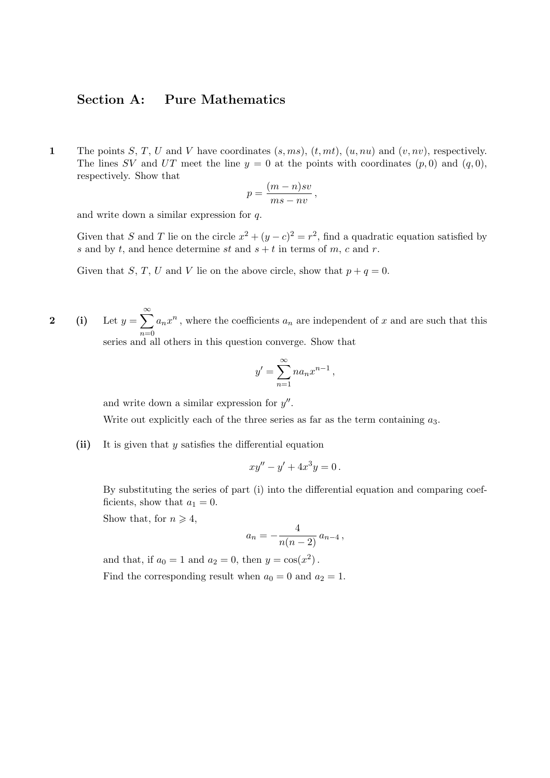## Section A: Pure Mathematics

1 The points S, T, U and V have coordinates  $(s, ms)$ ,  $(t, mt)$ ,  $(u, nu)$  and  $(v, nv)$ , respectively. The lines SV and UT meet the line  $y = 0$  at the points with coordinates  $(p, 0)$  and  $(q, 0)$ , respectively. Show that

$$
p = \frac{(m-n)sv}{ms-nv},
$$

and write down a similar expression for q.

Given that S and T lie on the circle  $x^2 + (y - c)^2 = r^2$ , find a quadratic equation satisfied by s and by t, and hence determine st and  $s + t$  in terms of m, c and r.

Given that S, T, U and V lie on the above circle, show that  $p + q = 0$ .

2 (i) Let  $y =$  $\infty$  $n=0$  $a_nx^n$ , where the coefficients  $a_n$  are independent of x and are such that this series and all others in this question converge. Show that

$$
y' = \sum_{n=1}^{\infty} n a_n x^{n-1},
$$

and write down a similar expression for  $y''$ .

Write out explicitly each of the three series as far as the term containing  $a_3$ .

(ii) It is given that  $y$  satisfies the differential equation

$$
xy'' - y' + 4x^3y = 0.
$$

By substituting the series of part (i) into the differential equation and comparing coefficients, show that  $a_1 = 0$ .

Show that, for  $n \geq 4$ ,

$$
a_n = -\frac{4}{n(n-2)} a_{n-4},
$$

and that, if  $a_0 = 1$  and  $a_2 = 0$ , then  $y = cos(x^2)$ . Find the corresponding result when  $a_0 = 0$  and  $a_2 = 1$ .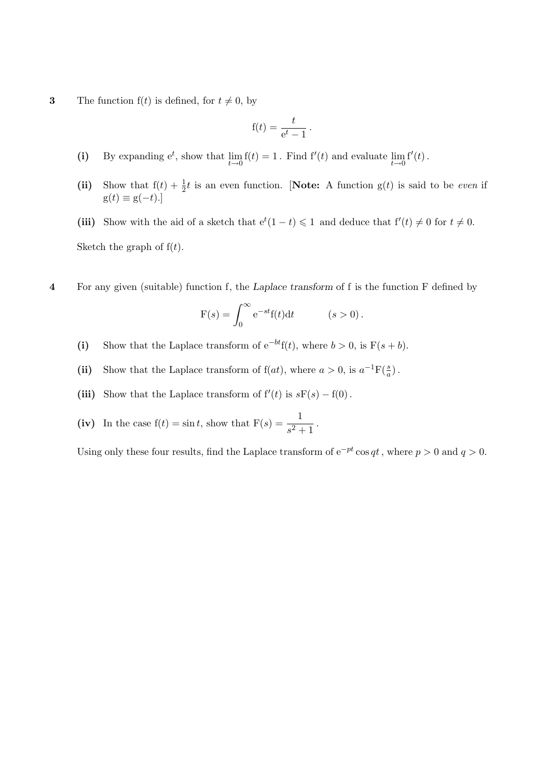3 The function  $f(t)$  is defined, for  $t \neq 0$ , by

$$
f(t) = \frac{t}{e^t - 1}.
$$

- (i) By expanding  $e^t$ , show that  $\lim_{t\to 0} f(t) = 1$ . Find  $f'(t)$  and evaluate  $\lim_{t\to 0} f'(t)$ .
- (ii) Show that  $f(t) + \frac{1}{2}t$  is an even function. [Note: A function  $g(t)$  is said to be *even* if  $g(t) \equiv g(-t).$

(iii) Show with the aid of a sketch that  $e^t(1-t) \leq 1$  and deduce that  $f'(t) \neq 0$  for  $t \neq 0$ . Sketch the graph of  $f(t)$ .

4 For any given (suitable) function f, the Laplace transform of f is the function F defined by

$$
F(s) = \int_0^\infty e^{-st} f(t) dt \qquad (s > 0).
$$

- (i) Show that the Laplace transform of  $e^{-bt}f(t)$ , where  $b > 0$ , is  $F(s + b)$ .
- (ii) Show that the Laplace transform of  $f(at)$ , where  $a > 0$ , is  $a^{-1}F(\frac{s}{a})$ .
- (iii) Show that the Laplace transform of  $f'(t)$  is  $sF(s) f(0)$ .
- (iv) In the case  $f(t) = \sin t$ , show that  $F(s) = \frac{1}{s^2 + 1}$ .

Using only these four results, find the Laplace transform of  $e^{-pt} \cos qt$ , where  $p > 0$  and  $q > 0$ .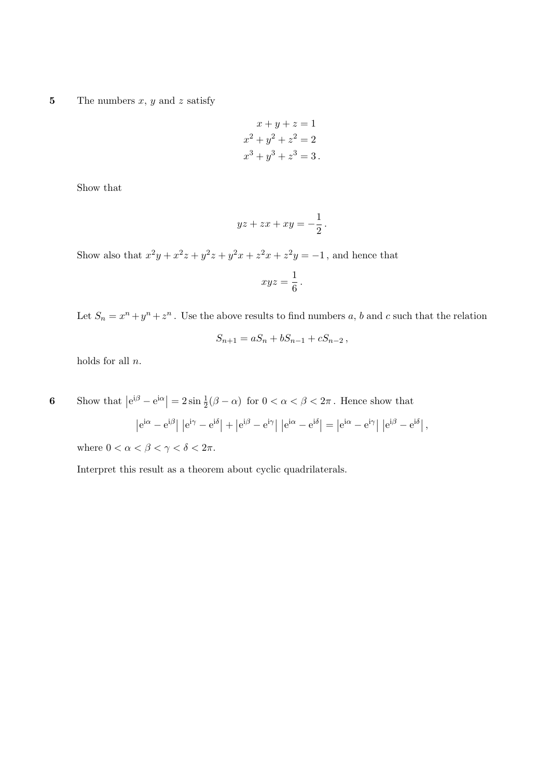5 The numbers  $x, y$  and  $z$  satisfy

$$
x + y + z = 1
$$

$$
x2 + y2 + z2 = 2
$$

$$
x3 + y3 + z3 = 3.
$$

Show that

$$
yz + zx + xy = -\frac{1}{2}.
$$

Show also that  $x^2y + x^2z + y^2z + y^2x + z^2x + z^2y = -1$ , and hence that

$$
xyz = \frac{1}{6} \, .
$$

Let  $S_n = x^n + y^n + z^n$ . Use the above results to find numbers a, b and c such that the relation

$$
S_{n+1} = aS_n + bS_{n-1} + cS_{n-2},
$$

holds for all  $n$ .

6 Show that  $|e^{i\beta} - e^{i\alpha}| = 2 \sin \frac{1}{2} (\beta - \alpha)$  for  $0 < \alpha < \beta < 2\pi$ . Hence show that  $\left|e^{i\alpha}-e^{i\beta}\right|\left|e^{i\gamma}-e^{i\delta}\right|+\left|e^{i\beta}-e^{i\gamma}\right|\left|e^{i\alpha}-e^{i\delta}\right|=\left|e^{i\alpha}-e^{i\gamma}\right|\left|e^{i\beta}-e^{i\delta}\right|,$ 

where  $0 < \alpha < \beta < \gamma < \delta < 2\pi$ .

Interpret this result as a theorem about cyclic quadrilaterals.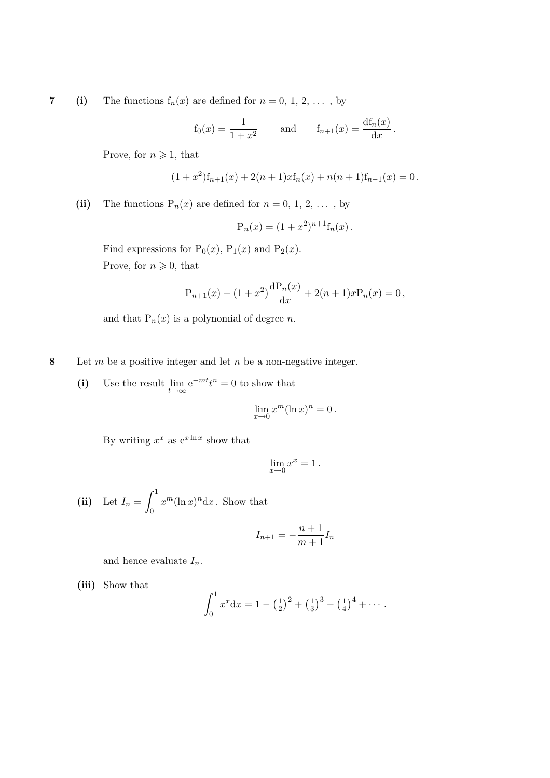7 (i) The functions  $f_n(x)$  are defined for  $n = 0, 1, 2, \ldots$ , by

$$
f_0(x) = \frac{1}{1+x^2}
$$
 and  $f_{n+1}(x) = \frac{df_n(x)}{dx}$ .

Prove, for  $n \geqslant 1$ , that

$$
(1+x2)fn+1(x) + 2(n + 1)xfn(x) + n(n + 1)fn-1(x) = 0.
$$

(ii) The functions  $P_n(x)$  are defined for  $n = 0, 1, 2, \ldots$ , by

$$
P_n(x) = (1 + x^2)^{n+1} f_n(x) .
$$

Find expressions for  $P_0(x)$ ,  $P_1(x)$  and  $P_2(x)$ . Prove, for  $n \geqslant 0$ , that

$$
P_{n+1}(x) - (1+x^2)\frac{dP_n(x)}{dx} + 2(n+1)xP_n(x) = 0,
$$

and that  $P_n(x)$  is a polynomial of degree n.

8 Let  $m$  be a positive integer and let  $n$  be a non-negative integer.

(i) Use the result  $\lim_{t \to \infty} e^{-mt} t^n = 0$  to show that

$$
\lim_{x \to 0} x^m (\ln x)^n = 0.
$$

By writing  $x^x$  as  $e^{x \ln x}$  show that

$$
\lim_{x \to 0} x^x = 1 \, .
$$

(ii) Let  $I_n =$  $\overline{r}$ 1 0  $x^m(\ln x)^n dx$ . Show that

$$
I_{n+1} = -\frac{n+1}{m+1}I_n
$$

and hence evaluate  $I_n$ .

(iii) Show that

$$
\int_0^1 x^x dx = 1 - \left(\frac{1}{2}\right)^2 + \left(\frac{1}{3}\right)^3 - \left(\frac{1}{4}\right)^4 + \cdots
$$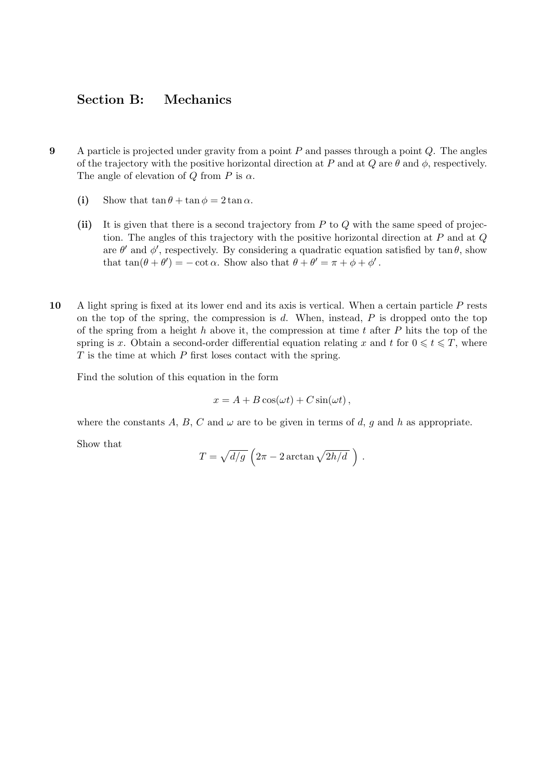## Section B: Mechanics

- 9 A particle is projected under gravity from a point  $P$  and passes through a point  $Q$ . The angles of the trajectory with the positive horizontal direction at P and at Q are  $\theta$  and  $\phi$ , respectively. The angle of elevation of Q from P is  $\alpha$ .
	- (i) Show that  $\tan \theta + \tan \phi = 2 \tan \alpha$ .
	- (ii) It is given that there is a second trajectory from  $P$  to  $Q$  with the same speed of projection. The angles of this trajectory with the positive horizontal direction at  $P$  and at  $Q$ are  $\theta'$  and  $\phi'$ , respectively. By considering a quadratic equation satisfied by  $\tan \theta$ , show that  $\tan(\theta + \theta') = -\cot \alpha$ . Show also that  $\theta + \theta' = \pi + \phi + \phi'$ .
- 10 A light spring is fixed at its lower end and its axis is vertical. When a certain particle P rests on the top of the spring, the compression is  $d$ . When, instead,  $P$  is dropped onto the top of the spring from a height  $h$  above it, the compression at time  $t$  after  $P$  hits the top of the spring is x. Obtain a second-order differential equation relating x and t for  $0 \le t \le T$ , where  $T$  is the time at which  $P$  first loses contact with the spring.

Find the solution of this equation in the form

$$
x = A + B\cos(\omega t) + C\sin(\omega t),
$$

where the constants A, B, C and  $\omega$  are to be given in terms of d, g and h as appropriate.

Show that

$$
T = \sqrt{d/g} \left(2\pi - 2\arctan\sqrt{2h/d} \right).
$$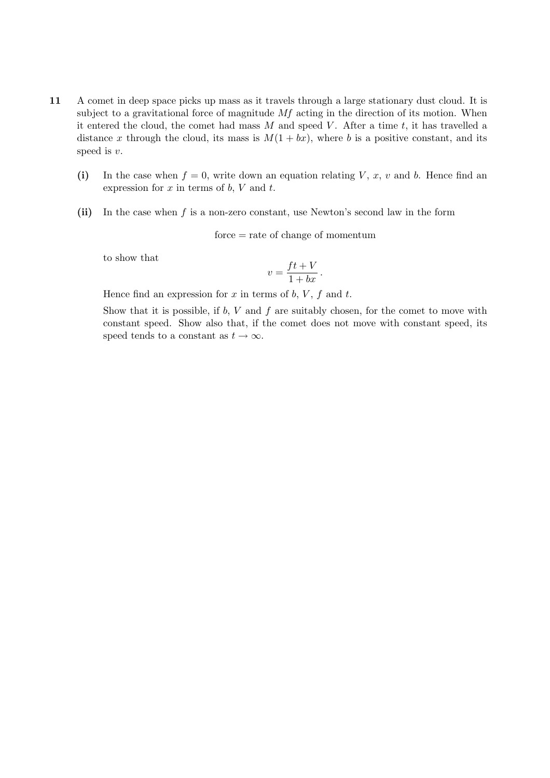- 11 A comet in deep space picks up mass as it travels through a large stationary dust cloud. It is subject to a gravitational force of magnitude  $Mf$  acting in the direction of its motion. When it entered the cloud, the comet had mass  $M$  and speed  $V$ . After a time  $t$ , it has travelled a distance x through the cloud, its mass is  $M(1 + bx)$ , where b is a positive constant, and its speed is v.
	- (i) In the case when  $f = 0$ , write down an equation relating V, x, v and b. Hence find an expression for  $x$  in terms of  $b$ ,  $V$  and  $t$ .
	- (ii) In the case when  $f$  is a non-zero constant, use Newton's second law in the form

force = rate of change of momentum

to show that

$$
v = \frac{ft + V}{1 + bx} \, .
$$

Hence find an expression for  $x$  in terms of  $b$ ,  $V$ ,  $f$  and  $t$ .

Show that it is possible, if  $b, V$  and  $f$  are suitably chosen, for the comet to move with constant speed. Show also that, if the comet does not move with constant speed, its speed tends to a constant as  $t \to \infty$ .